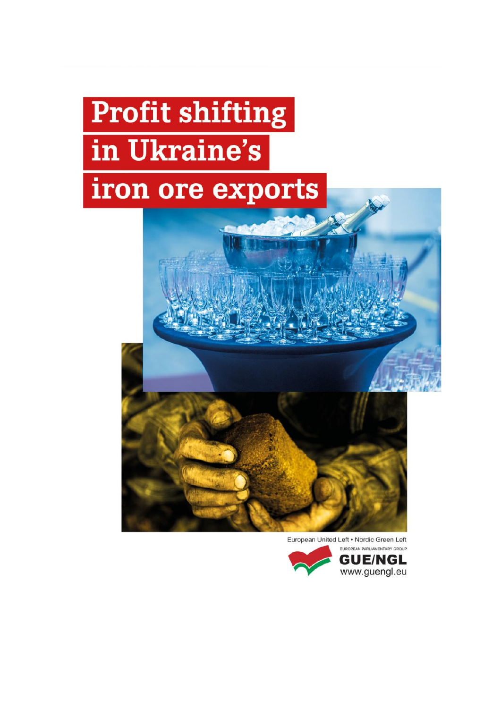# **Profit shifting** in Ukraine's iron ore exports



European United Left . Nordic Green Left

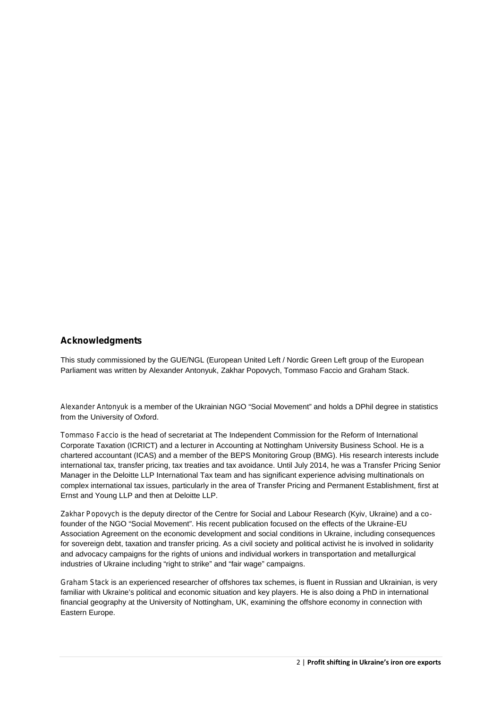#### **Acknowledgments**

This study commissioned by the GUE/NGL (European United Left / Nordic Green Left group of the European Parliament was written by Alexander Antonyuk, Zakhar Popovych, Tommaso Faccio and Graham Stack.

*Alexander Antonyuk* is a member of the Ukrainian NGO "Social Movement" and holds a DPhil degree in statistics from the University of Oxford.

*Tommaso Faccio* is the head of secretariat at The Independent Commission for the Reform of International Corporate Taxation (ICRICT) and a lecturer in Accounting at Nottingham University Business School. He is a chartered accountant (ICAS) and a member of the BEPS Monitoring Group (BMG). His research interests include international tax, transfer pricing, tax treaties and tax avoidance. Until July 2014, he was a Transfer Pricing Senior Manager in the Deloitte LLP International Tax team and has significant experience advising multinationals on complex international tax issues, particularly in the area of Transfer Pricing and Permanent Establishment, first at Ernst and Young LLP and then at Deloitte LLP.

*Zakhar Popovych* is the deputy director of the Centre for Social and Labour Research (Kyiv, Ukraine) and a cofounder of the NGO "Social Movement". His recent publication focused on the effects of the Ukraine-EU Association Agreement on the economic development and social conditions in Ukraine, including consequences for sovereign debt, taxation and transfer pricing. As a civil society and political activist he is involved in solidarity and advocacy campaigns for the rights of unions and individual workers in transportation and metallurgical industries of Ukraine including "right to strike" and "fair wage" campaigns.

*Graham Stack* is an experienced researcher of offshores tax schemes, is fluent in Russian and Ukrainian, is very familiar with Ukraine's political and economic situation and key players. He is also doing a PhD in international financial geography at the University of Nottingham, UK, examining the offshore economy in connection with Eastern Europe.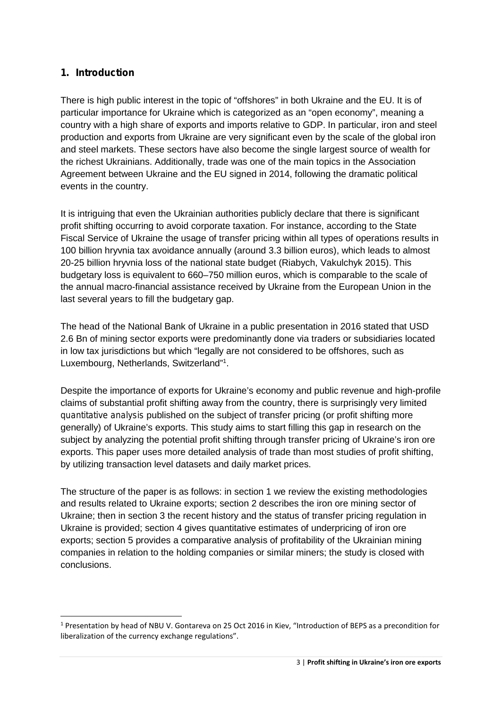## **1. Introduction**

There is high public interest in the topic of "offshores" in both Ukraine and the EU. It is of particular importance for Ukraine which is categorized as an "open economy", meaning a country with a high share of exports and imports relative to GDP. In particular, iron and steel production and exports from Ukraine are very significant even by the scale of the global iron and steel markets. These sectors have also become the single largest source of wealth for the richest Ukrainians. Additionally, trade was one of the main topics in the Association Agreement between Ukraine and the EU signed in 2014, following the dramatic political events in the country.

It is intriguing that even the Ukrainian authorities publicly declare that there is significant profit shifting occurring to avoid corporate taxation. For instance, according to the State Fiscal Service of Ukraine the usage of transfer pricing within all types of operations results in 100 billion hryvnia tax avoidance annually (around 3.3 billion euros), which leads to almost 20-25 billion hryvnia loss of the national state budget (Riabych, Vakulchyk 2015). This budgetary loss is equivalent to 660–750 million euros, which is comparable to the scale of the annual macro-financial assistance received by Ukraine from the European Union in the last several years to fill the budgetary gap.

The head of the National Bank of Ukraine in a public presentation in 2016 stated that USD 2.6 Bn of mining sector exports were predominantly done via traders or subsidiaries located in low tax jurisdictions but which "legally are not considered to be offshores, such as Luxembourg, Netherlands, Switzerland"<sup>1</sup> .

Despite the importance of exports for Ukraine's economy and public revenue and high-profile claims of substantial profit shifting away from the country, there is surprisingly very limited *quantitative analysis* published on the subject of transfer pricing (or profit shifting more generally) of Ukraine's exports. This study aims to start filling this gap in research on the subject by analyzing the potential profit shifting through transfer pricing of Ukraine's iron ore exports. This paper uses more detailed analysis of trade than most studies of profit shifting, by utilizing transaction level datasets and daily market prices.

The structure of the paper is as follows: in section 1 we review the existing methodologies and results related to Ukraine exports; section 2 describes the iron ore mining sector of Ukraine; then in section 3 the recent history and the status of transfer pricing regulation in Ukraine is provided; section 4 gives quantitative estimates of underpricing of iron ore exports; section 5 provides a comparative analysis of profitability of the Ukrainian mining companies in relation to the holding companies or similar miners; the study is closed with conclusions.

<sup>1</sup> Presentation by head of NBU V. Gontareva on 25 Oct 2016 in Kiev, "Introduction of BEPS as a precondition for liberalization of the currency exchange regulations".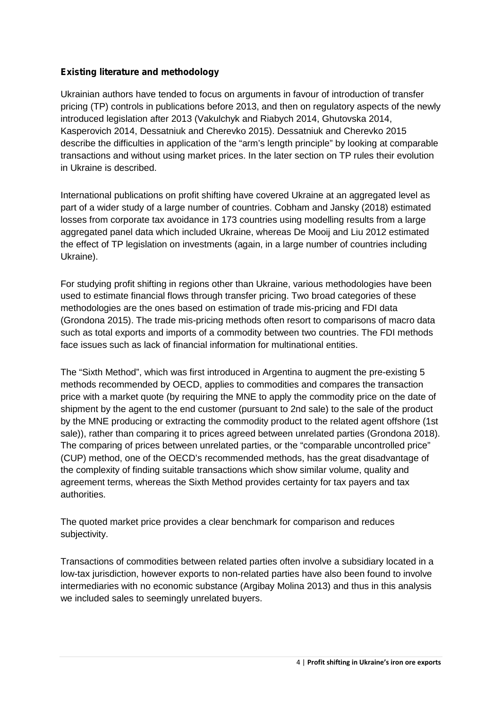## **Existing literature and methodology**

Ukrainian authors have tended to focus on arguments in favour of introduction of transfer pricing (TP) controls in publications before 2013, and then on regulatory aspects of the newly introduced legislation after 2013 (Vakulchyk and Riabych 2014, Ghutovska 2014, Kasperovich 2014, Dessatniuk and Cherevko 2015). Dessatniuk and Cherevko 2015 describe the difficulties in application of the "arm's length principle" by looking at comparable transactions and without using market prices. In the later section on TP rules their evolution in Ukraine is described.

International publications on profit shifting have covered Ukraine at an aggregated level as part of a wider study of a large number of countries. Cobham and Jansky (2018) estimated losses from corporate tax avoidance in 173 countries using modelling results from a large aggregated panel data which included Ukraine, whereas De Mooij and Liu 2012 estimated the effect of TP legislation on investments (again, in a large number of countries including Ukraine).

For studying profit shifting in regions other than Ukraine, various methodologies have been used to estimate financial flows through transfer pricing. Two broad categories of these methodologies are the ones based on estimation of trade mis-pricing and FDI data (Grondona 2015). The trade mis-pricing methods often resort to comparisons of macro data such as total exports and imports of a commodity between two countries. The FDI methods face issues such as lack of financial information for multinational entities.

The "Sixth Method", which was first introduced in Argentina to augment the pre-existing 5 methods recommended by OECD, applies to commodities and compares the transaction price with a market quote (by requiring the MNE to apply the commodity price on the date of shipment by the agent to the end customer (pursuant to 2nd sale) to the sale of the product by the MNE producing or extracting the commodity product to the related agent offshore (1st sale)), rather than comparing it to prices agreed between unrelated parties (Grondona 2018). The comparing of prices between unrelated parties, or the "comparable uncontrolled price" (CUP) method, one of the OECD's recommended methods, has the great disadvantage of the complexity of finding suitable transactions which show similar volume, quality and agreement terms, whereas the Sixth Method provides certainty for tax payers and tax authorities.

The quoted market price provides a clear benchmark for comparison and reduces subjectivity.

Transactions of commodities between related parties often involve a subsidiary located in a low-tax jurisdiction, however exports to non-related parties have also been found to involve intermediaries with no economic substance (Argibay Molina 2013) and thus in this analysis we included sales to seemingly unrelated buyers.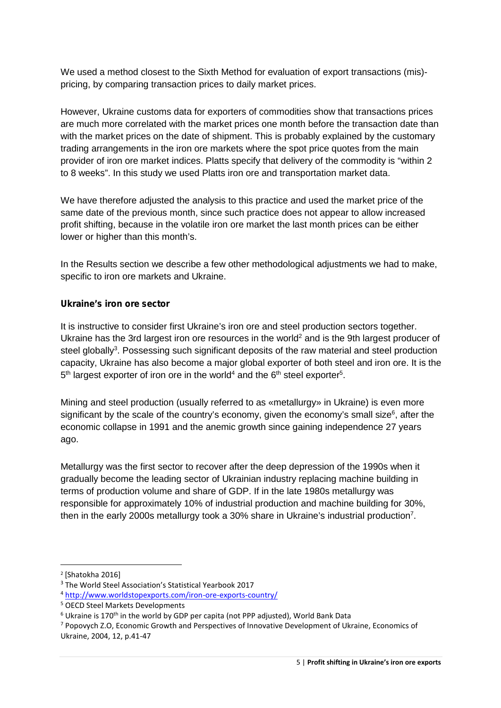We used a method closest to the Sixth Method for evaluation of export transactions (mis) pricing, by comparing transaction prices to daily market prices.

However, Ukraine customs data for exporters of commodities show that transactions prices are much more correlated with the market prices one month before the transaction date than with the market prices on the date of shipment. This is probably explained by the customary trading arrangements in the iron ore markets where the spot price quotes from the main provider of iron ore market indices. Platts specify that delivery of the commodity is "within 2 to 8 weeks". In this study we used Platts iron ore and transportation market data.

We have therefore adjusted the analysis to this practice and used the market price of the same date of the previous month, since such practice does not appear to allow increased profit shifting, because in the volatile iron ore market the last month prices can be either lower or higher than this month's.

In the Results section we describe a few other methodological adjustments we had to make, specific to iron ore markets and Ukraine.

#### **Ukraine's iron ore sector**

It is instructive to consider first Ukraine's iron ore and steel production sectors together. Ukraine has the 3rd largest iron ore resources in the world<sup>2</sup> and is the 9th largest producer of steel globally<sup>3</sup>. Possessing such significant deposits of the raw material and steel production capacity, Ukraine has also become a major global exporter of both steel and iron ore. It is the 5<sup>th</sup> largest exporter of iron ore in the world<sup>4</sup> and the 6<sup>th</sup> steel exporter<sup>5</sup>.

Mining and steel production (usually referred to as «metallurgy» in Ukraine) is even more significant by the scale of the country's economy, given the economy's small size<sup>6</sup>, after the economic collapse in 1991 and the anemic growth since gaining independence 27 years ago.

Metallurgy was the first sector to recover after the deep depression of the 1990s when it gradually become the leading sector of Ukrainian industry replacing machine building in terms of production volume and share of GDP. If in the late 1980s metallurgy was responsible for approximately 10% of industrial production and machine building for 30%, then in the early 2000s metallurgy took a 30% share in Ukraine's industrial production<sup>7</sup>.

<sup>2</sup> [Shatokha 2016]

<sup>3</sup> The World Steel Association's Statistical Yearbook 2017

<sup>4</sup> http://www.worldstopexports.com/iron-ore-exports-country/

<sup>5</sup> OECD Steel Markets Developments

 $6$  Ukraine is 170<sup>th</sup> in the world by GDP per capita (not PPP adjusted), World Bank Data

<sup>7</sup> Popovych Z.O, Economic Growth and Perspectives of Innovative Development of Ukraine, Economics of Ukraine, 2004, 12, p.41-47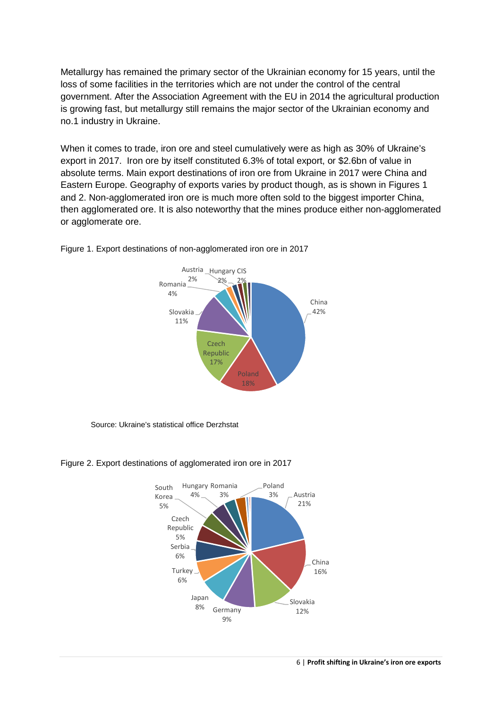Metallurgy has remained the primary sector of the Ukrainian economy for 15 years, until the loss of some facilities in the territories which are not under the control of the central government. After the Association Agreement with the EU in 2014 the agricultural production is growing fast, but metallurgy still remains the major sector of the Ukrainian economy and no.1 industry in Ukraine.

When it comes to trade, iron ore and steel cumulatively were as high as 30% of Ukraine's export in 2017. Iron ore by itself constituted 6.3% of total export, or \$2.6bn of value in absolute terms. Main export destinations of iron ore from Ukraine in 2017 were China and Eastern Europe. Geography of exports varies by product though, as is shown in Figures 1 and 2. Non-agglomerated iron ore is much more often sold to the biggest importer China, then agglomerated ore. It is also noteworthy that the mines produce either non-agglomerated or agglomerate ore.



Figure 1. Export destinations of non-agglomerated iron ore in 2017

Source: Ukraine's statistical office Derzhstat



#### Figure 2. Export destinations of agglomerated iron ore in 2017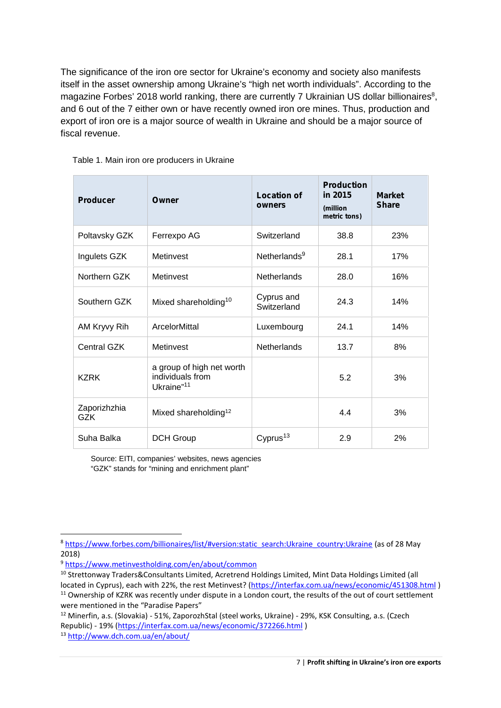The significance of the iron ore sector for Ukraine's economy and society also manifests itself in the asset ownership among Ukraine's "high net worth individuals". According to the magazine Forbes' 2018 world ranking, there are currently 7 Ukrainian US dollar billionaires<sup>8</sup>, and 6 out of the 7 either own or have recently owned iron ore mines. Thus, production and export of iron ore is a major source of wealth in Ukraine and should be a major source of fiscal revenue.

| <b>Producer</b>            | Owner                                                                   | <b>Location of</b><br>owners | <b>Production</b><br>in 2015<br>(million<br>metric tons) | <b>Market</b><br><b>Share</b> |
|----------------------------|-------------------------------------------------------------------------|------------------------------|----------------------------------------------------------|-------------------------------|
| Poltavsky GZK              | Ferrexpo AG                                                             | Switzerland                  | 38.8                                                     | 23%                           |
| Ingulets GZK               | Metinvest                                                               | Netherlands <sup>9</sup>     | 28.1                                                     | 17%                           |
| Northern GZK               | Metinvest                                                               | <b>Netherlands</b>           | 28.0                                                     | 16%                           |
| Southern GZK               | Mixed shareholding <sup>10</sup>                                        | Cyprus and<br>Switzerland    | 24.3                                                     | 14%                           |
| AM Kryvy Rih               | ArcelorMittal                                                           | Luxembourg                   | 24.1                                                     | 14%                           |
| <b>Central GZK</b>         | Metinvest                                                               | <b>Netherlands</b>           | 13.7                                                     | 8%                            |
| <b>KZRK</b>                | a group of high net worth<br>individuals from<br>Ukraine" <sup>11</sup> |                              | 5.2                                                      | 3%                            |
| Zaporizhzhia<br><b>GZK</b> | Mixed shareholding <sup>12</sup>                                        |                              | 4.4                                                      | 3%                            |
| Suha Balka                 | H Group<br>D                                                            | Cyprus <sup>13</sup>         | 2.9                                                      | 2%                            |

Table 1. Main iron ore producers in Ukraine

Source: EITI, companies' websites, news agencies "GZK" stands for "mining and enrichment plant"

<sup>8</sup> https://www.forbes.com/billionaires/list/#version:static\_search:Ukraine\_country:Ukraine (as of 28 May 2018)

<sup>9</sup> https://www.metinvestholding.com/en/about/common

<sup>10</sup> Strettonway Traders&Consultants Limited, Acretrend Holdings Limited, Mint Data Holdings Limited (all located in Cyprus), each with 22%, the rest Metinvest? (https://interfax.com.ua/news/economic/451308.html )

<sup>&</sup>lt;sup>11</sup> Ownership of KZRK was recently under dispute in a London court, the results of the out of court settlement were mentioned in the "Paradise Papers"

<sup>&</sup>lt;sup>12</sup> Minerfin, a.s. (Slovakia) - 51%, ZaporozhStal (steel works, Ukraine) - 29%, KSK Consulting, a.s. (Czech Republic) - 19% (https://interfax.com.ua/news/economic/372266.html )

<sup>13</sup> http://www.dch.com.ua/en/about/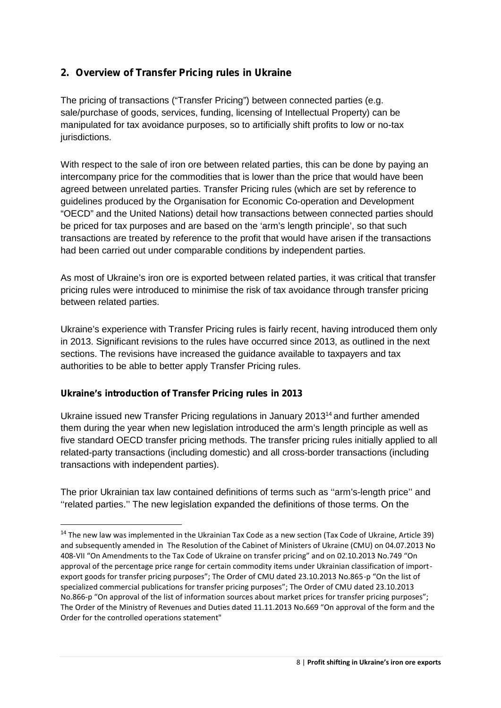# **2. Overview of Transfer Pricing rules in Ukraine**

The pricing of transactions ("Transfer Pricing") between connected parties (e.g. sale/purchase of goods, services, funding, licensing of Intellectual Property) can be manipulated for tax avoidance purposes, so to artificially shift profits to low or no-tax jurisdictions.

With respect to the sale of iron ore between related parties, this can be done by paying an intercompany price for the commodities that is lower than the price that would have been agreed between unrelated parties. Transfer Pricing rules (which are set by reference to guidelines produced by the Organisation for Economic Co-operation and Development "OECD" and the United Nations) detail how transactions between connected parties should be priced for tax purposes and are based on the 'arm's length principle', so that such transactions are treated by reference to the profit that would have arisen if the transactions had been carried out under comparable conditions by independent parties.

As most of Ukraine's iron ore is exported between related parties, it was critical that transfer pricing rules were introduced to minimise the risk of tax avoidance through transfer pricing between related parties.

Ukraine's experience with Transfer Pricing rules is fairly recent, having introduced them only in 2013. Significant revisions to the rules have occurred since 2013, as outlined in the next sections. The revisions have increased the guidance available to taxpayers and tax authorities to be able to better apply Transfer Pricing rules.

## **Ukraine's introduction of Transfer Pricing rules in 2013**

Ukraine issued new Transfer Pricing regulations in January 2013<sup>14</sup> and further amended them during the year when new legislation introduced the arm's length principle as well as five standard OECD transfer pricing methods. The transfer pricing rules initially applied to all related-party transactions (including domestic) and all cross-border transactions (including transactions with independent parties).

The prior Ukrainian tax law contained definitions of terms such as ''arm's-length price'' and ''related parties.'' The new legislation expanded the definitions of those terms. On the

<sup>&</sup>lt;sup>14</sup> The new law was implemented in the Ukrainian Tax Code as a new section (Tax Code of Ukraine, Article 39) and subsequently amended in The Resolution of the Cabinet of Ministers of Ukraine (CMU) on 04.07.2013 No 408-VII "On Amendments to the Tax Code of Ukraine on transfer pricing" and on 02.10.2013 No.749 "On approval of the percentage price range for certain commodity items under Ukrainian classification of import export goods for transfer pricing purposes"; The Order of CMU dated 23.10.2013 No.865-p "On the list of specialized commercial publications for transfer pricing purposes"; The Order of CMU dated 23.10.2013 No.866-p "On approval of the list of information sources about market prices for transfer pricing purposes"; The Order of the Ministry of Revenues and Duties dated 11.11.2013 No.669 "On approval of the form and the Order for the controlled operations statement"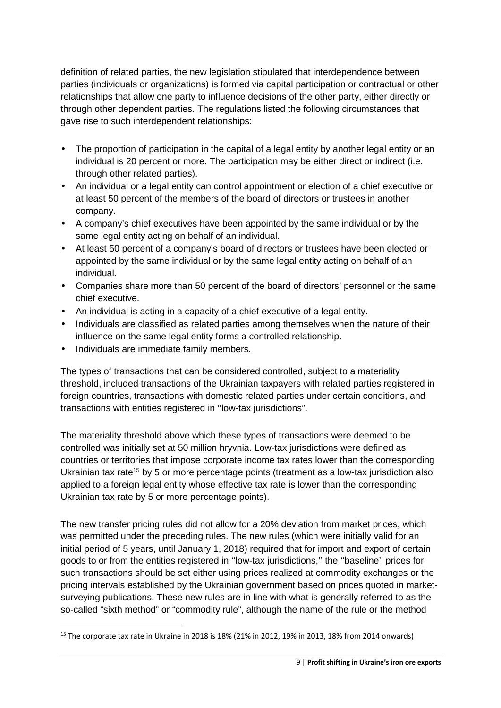definition of related parties, the new legislation stipulated that interdependence between parties (individuals or organizations) is formed via capital participation or contractual or other relationships that allow one party to influence decisions of the other party, either directly or through other dependent parties. The regulations listed the following circumstances that gave rise to such interdependent relationships:

- The proportion of participation in the capital of a legal entity by another legal entity or an individual is 20 percent or more. The participation may be either direct or indirect (i.e. through other related parties).
- An individual or a legal entity can control appointment or election of a chief executive or at least 50 percent of the members of the board of directors or trustees in another company.
- A company's chief executives have been appointed by the same individual or by the same legal entity acting on behalf of an individual.
- At least 50 percent of a company's board of directors or trustees have been elected or appointed by the same individual or by the same legal entity acting on behalf of an individual.
- Companies share more than 50 percent of the board of directors' personnel or the same chief executive.
- An individual is acting in a capacity of a chief executive of a legal entity.
- $\parallel$  Individuals are classified as related parties among themselves when the nature of their influence on the same legal entity forms a controlled relationship.
- Individuals are immediate family members.

The types of transactions that can be considered controlled, subject to a materiality threshold, included transactions of the Ukrainian taxpayers with related parties registered in foreign countries, transactions with domestic related parties under certain conditions, and transactions with entities registered in ''low-tax jurisdictions".

The materiality threshold above which these types of transactions were deemed to be controlled was initially set at 50 million hryvnia. Low-tax jurisdictions were defined as countries or territories that impose corporate income tax rates lower than the corresponding Ukrainian tax rate<sup>15</sup> by 5 or more percentage points (treatment as a low-tax jurisdiction also applied to a foreign legal entity whose effective tax rate is lower than the corresponding Ukrainian tax rate by 5 or more percentage points).

The new transfer pricing rules did not allow for a 20% deviation from market prices, which was permitted under the preceding rules. The new rules (which were initially valid for an initial period of 5 years, until January 1, 2018) required that for import and export of certain goods to or from the entities registered in ''low-tax jurisdictions,'' the ''baseline'' prices for such transactions should be set either using prices realized at commodity exchanges or the pricing intervals established by the Ukrainian government based on prices quoted in market surveying publications. These new rules are in line with what is generally referred to as the so-called "sixth method" or "commodity rule", although the name of the rule or the method

<sup>15</sup> The corporate tax rate in Ukraine in 2018 is 18% (21% in 2012, 19% in 2013, 18% from 2014 onwards)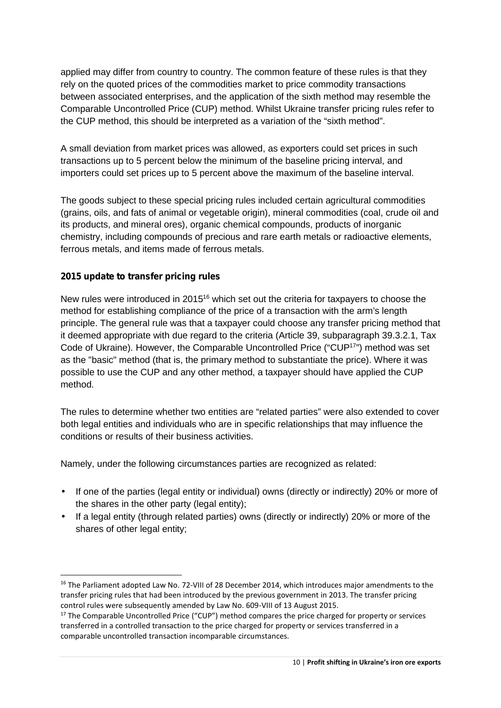applied may differ from country to country. The common feature of these rules is that they rely on the quoted prices of the commodities market to price commodity transactions between associated enterprises, and the application of the sixth method may resemble the Comparable Uncontrolled Price (CUP) method. Whilst Ukraine transfer pricing rules refer to the CUP method, this should be interpreted as a variation of the "sixth method".

A small deviation from market prices was allowed, as exporters could set prices in such transactions up to 5 percent below the minimum of the baseline pricing interval, and importers could set prices up to 5 percent above the maximum of the baseline interval.

The goods subject to these special pricing rules included certain agricultural commodities (grains, oils, and fats of animal or vegetable origin), mineral commodities (coal, crude oil and its products, and mineral ores), organic chemical compounds, products of inorganic chemistry, including compounds of precious and rare earth metals or radioactive elements, ferrous metals, and items made of ferrous metals.

#### **2015 update to transfer pricing rules**

New rules were introduced in 2015<sup>16</sup> which set out the criteria for taxpayers to choose the method for establishing compliance of the price of a transaction with the arm's length principle. The general rule was that a taxpayer could choose any transfer pricing method that it deemed appropriate with due regard to the criteria (Article 39, subparagraph 39.3.2.1, Tax Code of Ukraine). However, the Comparable Uncontrolled Price ("CUP<sup>17</sup>") method was set as the "basic" method (that is, the primary method to substantiate the price). Where it was possible to use the CUP and any other method, a taxpayer should have applied the CUP method.

The rules to determine whether two entities are "related parties" were also extended to cover both legal entities and individuals who are in specific relationships that may influence the conditions or results of their business activities.

Namely, under the following circumstances parties are recognized as related:

- If one of the parties (legal entity or individual) owns (directly or indirectly) 20% or more of the shares in the other party (legal entity);
- If a legal entity (through related parties) owns (directly or indirectly) 20% or more of the shares of other legal entity;

<sup>&</sup>lt;sup>16</sup> The Parliament adopted Law No. 72-VIII of 28 December 2014, which introduces major amendments to the transfer pricing rules that had been introduced by the previous government in 2013. The transfer pricing control rules were subsequently amended by Law No. 609-VIII of 13 August 2015.

 $17$  The Comparable Uncontrolled Price ("CUP") method compares the price charged for property or services transferred in a controlled transaction to the price charged for property or services transferred in a comparable uncontrolled transaction incomparable circumstances.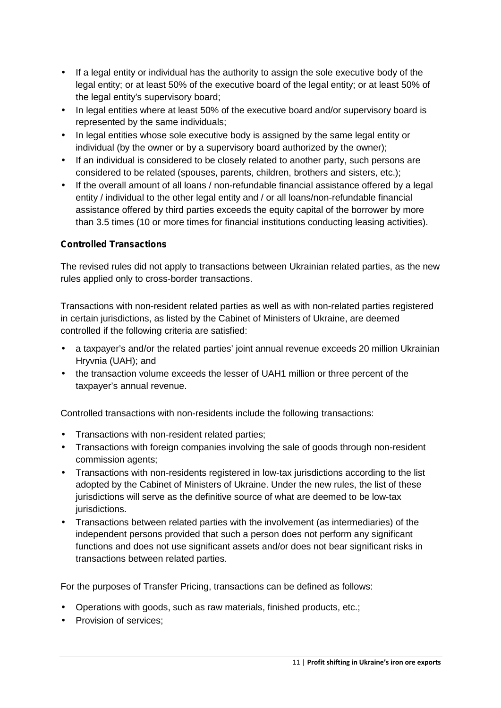- If a legal entity or individual has the authority to assign the sole executive body of the legal entity; or at least 50% of the executive board of the legal entity; or at least 50% of the legal entity's supervisory board;
- In legal entities where at least 50% of the executive board and/or supervisory board is represented by the same individuals;
- $\parallel$  In legal entities whose sole executive body is assigned by the same legal entity or individual (by the owner or by a supervisory board authorized by the owner);
- $\parallel$  If an individual is considered to be closely related to another party, such persons are considered to be related (spouses, parents, children, brothers and sisters, etc.);
- If the overall amount of all loans / non-refundable financial assistance offered by a legal entity / individual to the other legal entity and / or all loans/non-refundable financial assistance offered by third parties exceeds the equity capital of the borrower by more than 3.5 times (10 or more times for financial institutions conducting leasing activities).

## **Controlled Transactions**

The revised rules did not apply to transactions between Ukrainian related parties, as the new rules applied only to cross-border transactions.

Transactions with non-resident related parties as well as with non-related parties registered in certain jurisdictions, as listed by the Cabinet of Ministers of Ukraine, are deemed controlled if the following criteria are satisfied:

- a taxpayer's and/or the related parties' joint annual revenue exceeds 20 million Ukrainian Hryvnia (UAH); and
- the transaction volume exceeds the lesser of UAH1 million or three percent of the taxpayer's annual revenue.

Controlled transactions with non-residents include the following transactions:

- Transactions with non-resident related parties;
- Transactions with foreign companies involving the sale of goods through non-resident commission agents;
- Transactions with non-residents registered in low-tax jurisdictions according to the list adopted by the Cabinet of Ministers of Ukraine. Under the new rules, the list of these jurisdictions will serve as the definitive source of what are deemed to be low-tax jurisdictions.
- Transactions between related parties with the involvement (as intermediaries) of the independent persons provided that such a person does not perform any significant functions and does not use significant assets and/or does not bear significant risks in transactions between related parties.

For the purposes of Transfer Pricing, transactions can be defined as follows:

- Operations with goods, such as raw materials, finished products, etc.;
- Provision of services;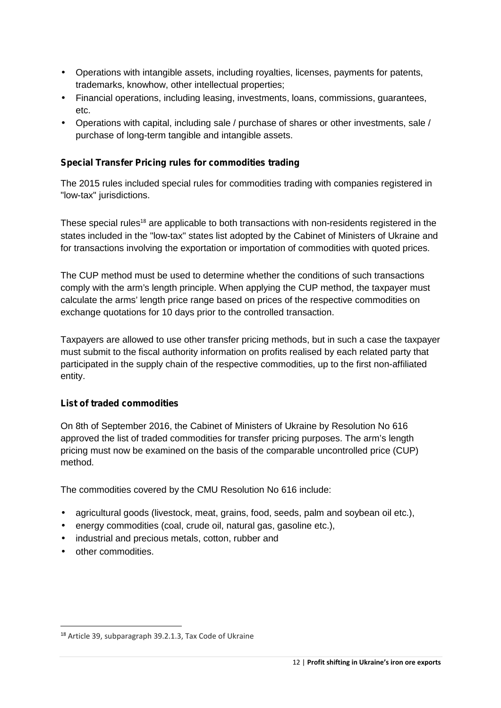- Operations with intangible assets, including royalties, licenses, payments for patents, trademarks, knowhow, other intellectual properties;
- Financial operations, including leasing, investments, loans, commissions, guarantees, etc.
- Operations with capital, including sale / purchase of shares or other investments, sale / purchase of long-term tangible and intangible assets.

## **Special Transfer Pricing rules for commodities trading**

The 2015 rules included special rules for commodities trading with companies registered in "low-tax" jurisdictions.

These special rules<sup>18</sup> are applicable to both transactions with non-residents registered in the states included in the "low-tax" states list adopted by the Cabinet of Ministers of Ukraine and for transactions involving the exportation or importation of commodities with quoted prices.

The CUP method must be used to determine whether the conditions of such transactions comply with the arm's length principle. When applying the CUP method, the taxpayer must calculate the arms' length price range based on prices of the respective commodities on exchange quotations for 10 days prior to the controlled transaction.

Taxpayers are allowed to use other transfer pricing methods, but in such a case the taxpayer must submit to the fiscal authority information on profits realised by each related party that participated in the supply chain of the respective commodities, up to the first non-affiliated entity.

## **List of traded commodities**

On 8th of September 2016, the Cabinet of Ministers of Ukraine by Resolution No 616 approved the list of traded commodities for transfer pricing purposes. The arm's length pricing must now be examined on the basis of the comparable uncontrolled price (CUP) method.

The commodities covered by the CMU Resolution No 616 include:

- agricultural goods (livestock, meat, grains, food, seeds, palm and soybean oil etc.),
- energy commodities (coal, crude oil, natural gas, gasoline etc.),
- I industrial and precious metals, cotton, rubber and
- other commodities.

<sup>18</sup> Article 39, subparagraph 39.2.1.3, Tax Code of Ukraine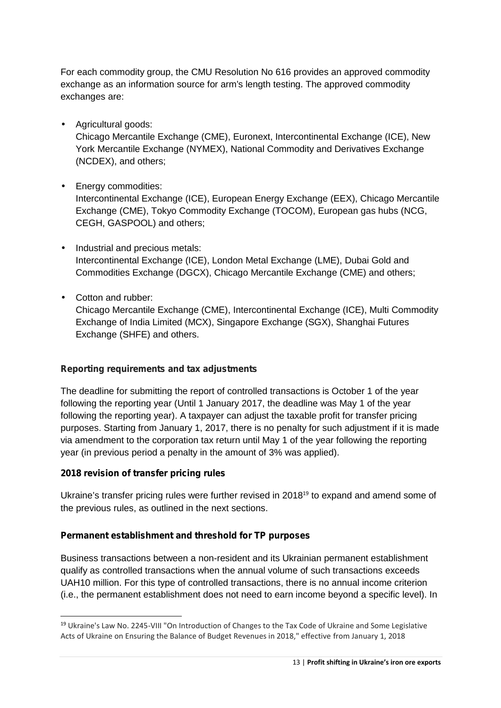For each commodity group, the CMU Resolution No 616 provides an approved commodity exchange as an information source for arm's length testing. The approved commodity exchanges are:

Agricultural goods:

Chicago Mercantile Exchange (CME), Euronext, Intercontinental Exchange (), New York Mercantile Exchange (NYMEX), National Commodity and Derivatives Exchange (NCDEX), and others;

Energy commodities:

Intercontinental Exchange (), European Energy Exchange (EEX), Chicago Mercantile Exchange (CME), Tokyo Commodity Exchange (TOCOM), European gas hubs (NCG, CEGH, GASPOOL) and others;

- $\int$  Industrial and precious metals: Intercontinental Exchange (), London Metal Exchange (LME), Dubai Gold and Commodities Exchange (DGCX), Chicago Mercantile Exchange (CME) and others;
- Cotton and rubber:

Chicago Mercantile Exchange (CME), Intercontinental Exchange (), Multi Commodity Exchange of India Limited (MCX), Singapore Exchange (SGX), Shanghai Futures Exchange (SHFE) and others.

## **Reporting requirements and tax adjustments**

The deadline for submitting the report of controlled transactions is October 1 of the year following the reporting year (Until 1 January 2017, the deadline was May 1 of the year following the reporting year). A taxpayer can adjust the taxable profit for transfer pricing purposes. Starting from January 1, 2017, there is no penalty for such adjustment if it is made via amendment to the corporation tax return until May 1 of the year following the reporting year (in previous period a penalty in the amount of 3% was applied).

## **2018 revision of transfer pricing rules**

Ukraine's transfer pricing rules were further revised in  $2018^{19}$  to expand and amend some of the previous rules, as outlined in the next sections.

## **Permanent establishment and threshold for TP purposes**

Business transactions between a non-resident and its Ukrainian permanent establishment qualify as controlled transactions when the annual volume of such transactions exceeds UAH10 million. For this type of controlled transactions, there is no annual income criterion (i.e., the permanent establishment does not need to earn income beyond a specific level). In

<sup>19</sup> Ukraine's Law No. 2245-VIII "On Introduction of Changes to the Tax Code of Ukraine and Some Legislative Acts of Ukraine on Ensuring the Balance of Budget Revenues in 2018," effective from January 1, 2018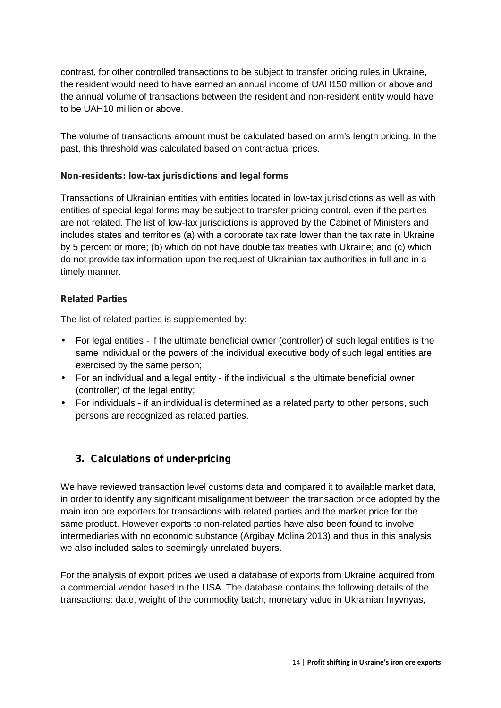contrast, for other controlled transactions to be subject to transfer pricing rules in Ukraine, the resident would need to have earned an annual income of UAH150 million or above and the annual volume of transactions between the resident and non-resident entity would have to be UAH10 million or above.

The volume of transactions amount must be calculated based on arm's length pricing. In the past, this threshold was calculated based on contractual prices.

### **Non-residents: low-tax jurisdictions and legal forms**

Transactions of Ukrainian entities with entities located in low-tax jurisdictions as well as with entities of special legal forms may be subject to transfer pricing control, even if the parties are not related. The list of low-tax jurisdictions is approved by the Cabinet of Ministers and includes states and territories (a) with a corporate tax rate lower than the tax rate in Ukraine by 5 percent or more; (b) which do not have double tax treaties with Ukraine; and (c) which do not provide tax information upon the request of Ukrainian tax authorities in full and in a timely manner.

### **Related Parties**

The list of related parties is supplemented by:

- For legal entities if the ultimate beneficial owner (controller) of such legal entities is the same individual or the powers of the individual executive body of such legal entities are exercised by the same person;
- For an individual and a legal entity if the individual is the ultimate beneficial owner (controller) of the legal entity;
- For individuals if an individual is determined as a related party to other persons, such persons are recognized as related parties.

## **3. Calculations of under-pricing**

We have reviewed transaction level customs data and compared it to available market data, in order to identify any significant misalignment between the transaction price adopted by the main iron ore exporters for transactions with related parties and the market price for the same product. However exports to non-related parties have also been found to involve intermediaries with no economic substance (Argibay Molina 2013) and thus in this analysis we also included sales to seemingly unrelated buyers.

For the analysis of export prices we used a database of exports from Ukraine acquired from a commercial vendor based in the USA. The database contains the following details of the transactions: date, weight of the commodity batch, monetary value in Ukrainian hryvnyas,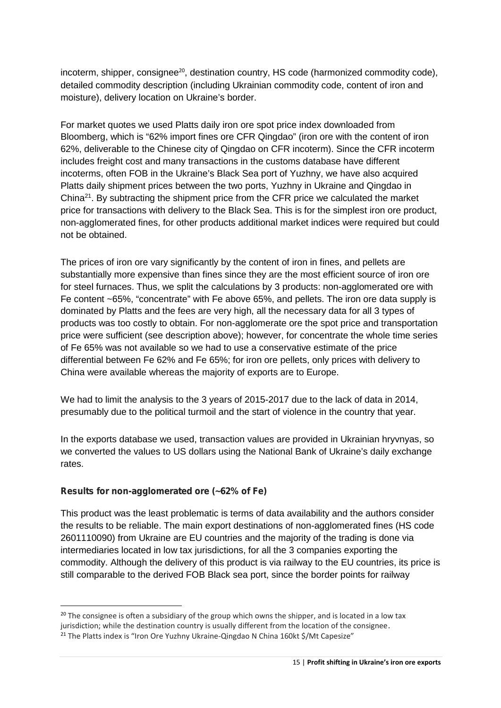incoterm, shipper, consignee<sup>20</sup>, destination country, HS code (harmonized commodity code), detailed commodity description (including Ukrainian commodity code, content of iron and moisture), delivery location on Ukraine's border.

For market quotes we used Platts daily iron ore spot price index downloaded from Bloomberg, which is "62% import fines ore CFR Qingdao" (iron ore with the content of iron 62%, deliverable to the Chinese city of Qingdao on CFR incoterm). Since the CFR incoterm includes freight cost and many transactions in the customs database have different incoterms, often FOB in the Ukraine's Black Sea port of Yuzhny, we have also acquired Platts daily shipment prices between the two ports, Yuzhny in Ukraine and Qingdao in China<sup>21</sup>. By subtracting the shipment price from the CFR price we calculated the market price for transactions with delivery to the Black Sea. This is for the simplest iron ore product, non-agglomerated fines, for other products additional market indices were required but could not be obtained.

The prices of iron ore vary significantly by the content of iron in fines, and pellets are substantially more expensive than fines since they are the most efficient source of iron ore for steel furnaces. Thus, we split the calculations by 3 products: non-agglomerated ore with Fe content ~65%, "concentrate" with Fe above 65%, and pellets. The iron ore data supply is dominated by Platts and the fees are very high, all the necessary data for all 3 types of products was too costly to obtain. For non-agglomerate ore the spot price and transportation price were sufficient (see description above); however, for concentrate the whole time series of Fe 65% was not available so we had to use a conservative estimate of the price differential between Fe 62% and Fe 65%; for iron ore pellets, only prices with delivery to China were available whereas the majority of exports are to Europe.

We had to limit the analysis to the 3 years of 2015-2017 due to the lack of data in 2014, presumably due to the political turmoil and the start of violence in the country that year.

In the exports database we used, transaction values are provided in Ukrainian hryvnyas, so we converted the values to US dollars using the National Bank of Ukraine's daily exchange rates.

## **Results for non-agglomerated ore (~62% of Fe)**

This product was the least problematic is terms of data availability and the authors consider the results to be reliable. The main export destinations of non-agglomerated fines (HS code 2601110090) from Ukraine are EU countries and the majority of the trading is done via intermediaries located in low tax jurisdictions, for all the 3 companies exporting the commodity. Although the delivery of this product is via railway to the EU countries, its price is still comparable to the derived FOB Black sea port, since the border points for railway

 $20$  The consignee is often a subsidiary of the group which owns the shipper, and is located in a low tax jurisdiction; while the destination country is usually different from the location of the consignee.

<sup>&</sup>lt;sup>21</sup> The Platts index is "Iron Ore Yuzhny Ukraine-Qingdao N China 160kt \$/Mt Capesize"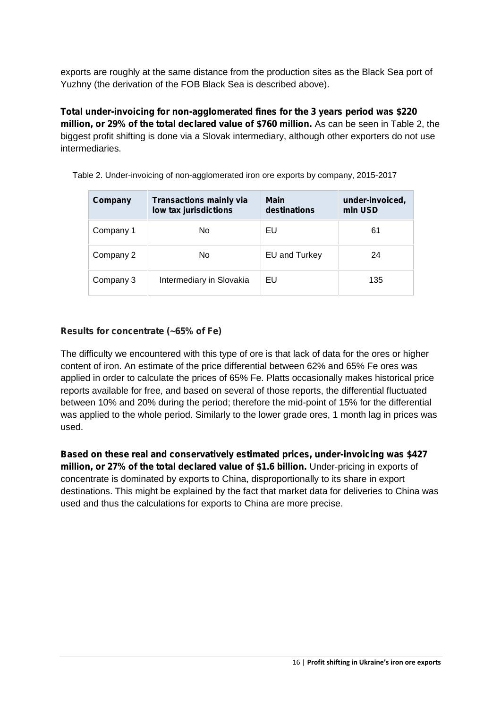exports are roughly at the same distance from the production sites as the Black Sea port of Yuzhny (the derivation of the FOB Black Sea is described above).

**Total under-invoicing for non-agglomerated fines for the 3 years period was \$220 million, or 29% of the total declared value of \$760 million.** As can be seen in Table 2, the biggest profit shifting is done via a Slovak intermediary, although other exporters do not use intermediaries.

| Company   | <b>Transactions mainly via</b><br>low tax jurisdictions | <b>Main</b><br>destinations | under-invoiced,<br>mln USD |
|-----------|---------------------------------------------------------|-----------------------------|----------------------------|
| Company 1 | No                                                      | EU                          | 61                         |
| Company 2 | No                                                      | EU and Turkey               | 24                         |
| Company 3 | Intermediary in Slovakia                                | EU                          | 135                        |

Table 2. Under-invoicing of non-agglomerated iron ore exports by company, 2015-2017

### **Results for concentrate (~65% of Fe)**

The difficulty we encountered with this type of ore is that lack of data for the ores or higher content of iron. An estimate of the price differential between 62% and 65% Fe ores was applied in order to calculate the prices of 65% Fe. Platts occasionally makes historical price reports available for free, and based on several of those reports, the differential fluctuated between 10% and 20% during the period; therefore the mid-point of 15% for the differential was applied to the whole period. Similarly to the lower grade ores, 1 month lag in prices was used.

**Based on these real and conservatively estimated prices, under-invoicing was \$427 million, or 27% of the total declared value of \$1.6 billion.** Under-pricing in exports of concentrate is dominated by exports to China, disproportionally to its share in export destinations. This might be explained by the fact that market data for deliveries to China was used and thus the calculations for exports to China are more precise.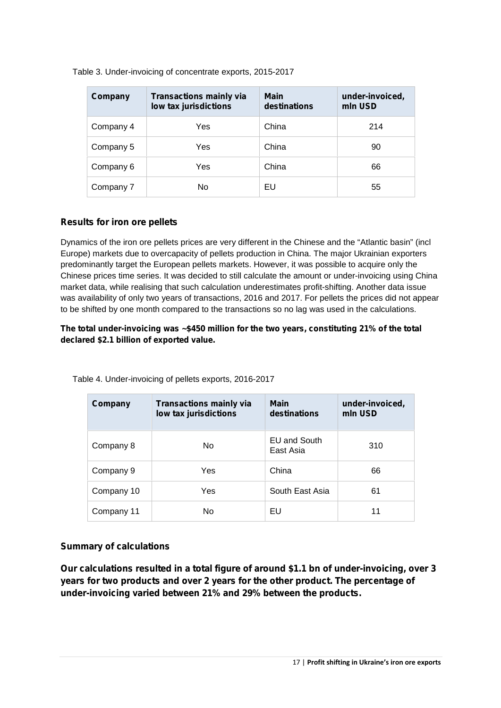| Company   | <b>Transactions mainly via</b><br>low tax jurisdictions | <b>Main</b><br>destinations | under-invoiced,<br>mln USD |
|-----------|---------------------------------------------------------|-----------------------------|----------------------------|
| Company 4 | Yes                                                     | China                       | 214                        |
| Company 5 | Yes                                                     | China                       | 90                         |
| Company 6 | Yes                                                     | China                       | 66                         |
| Company 7 | No                                                      | EU                          | 55                         |

Table 3. Under-invoicing of concentrate exports, 2015-2017

#### **Results for iron ore pellets**

Dynamics of the iron ore pellets prices are very different in the Chinese and the "Atlantic basin" (incl Europe) markets due to overcapacity of pellets production in China. The major Ukrainian exporters predominantly target the European pellets markets. However, it was possible to acquire only the Chinese prices time series. It was decided to still calculate the amount or under-invoicing using China market data, while realising that such calculation underestimates profit-shifting. Another data issue was availability of only two years of transactions, 2016 and 2017. For pellets the prices did not appear to be shifted by one month compared to the transactions so no lag was used in the calculations.

**The total under-invoicing was ~\$450 million for the two years, constituting 21% of the total declared \$2.1 billion of exported value.**

| Company    | <b>Transactions mainly via</b><br>low tax jurisdictions | <b>Main</b><br>destinations | under-invoiced,<br>mln USD |
|------------|---------------------------------------------------------|-----------------------------|----------------------------|
| Company 8  | No.                                                     | EU and South<br>East Asia   | 310                        |
| Company 9  | Yes                                                     | China                       | 66                         |
| Company 10 | Yes                                                     | South East Asia             | 61                         |
| Company 11 | No.                                                     | EU                          | 11                         |

Table 4. Under-invoicing of pellets exports, 2016-2017

#### **Summary of calculations**

**Our calculations resulted in a total figure of around \$1.1 bn of under-invoicing, over 3 years for two products and over 2 years for the other product. The percentage of under-invoicing varied between 21% and 29% between the products.**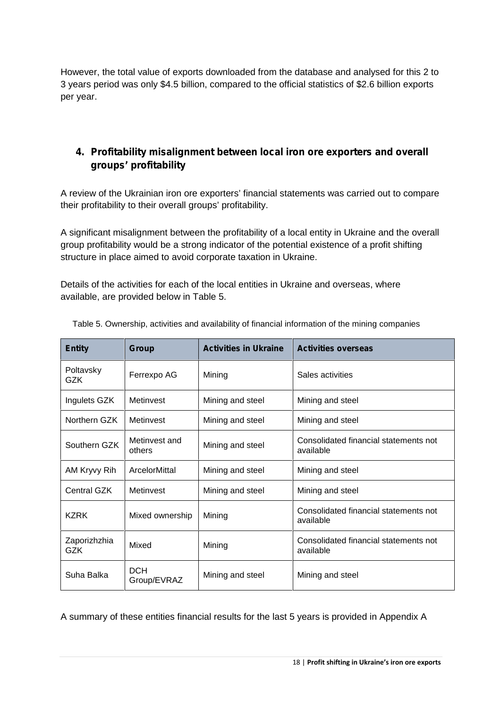However, the total value of exports downloaded from the database and analysed for this 2 to 3 years period was only \$4.5 billion, compared to the official statistics of \$2.6 billion exports per year.

# **4. Profitability misalignment between local iron ore exporters and overall groups' profitability**

A review of the Ukrainian iron ore exporters' financial statements was carried out to compare their profitability to their overall groups' profitability.

A significant misalignment between the profitability of a local entity in Ukraine and the overall group profitability would be a strong indicator of the potential existence of a profit shifting structure in place aimed to avoid corporate taxation in Ukraine.

Details of the activities for each of the local entities in Ukraine and overseas, where available, are provided below in Table 5.

| <b>Entity</b>              | Group                     | <b>Activities in Ukraine</b> | <b>Activities overseas</b>                         |
|----------------------------|---------------------------|------------------------------|----------------------------------------------------|
| Poltavsky<br><b>GZK</b>    | Ferrexpo AG               | Mining                       | Sales activities                                   |
| Ingulets GZK               | Metinvest                 | Mining and steel             | Mining and steel                                   |
| Northern GZK               | Metinvest                 | Mining and steel             | Mining and steel                                   |
| Southern GZK               | Metinvest and<br>others   | Mining and steel             | Consolidated financial statements not<br>available |
| AM Kryvy Rih               | ArcelorMittal             | Mining and steel             | Mining and steel                                   |
| Central GZK                | Metinvest                 | Mining and steel             | Mining and steel                                   |
| <b>KZRK</b>                | Mixed ownership           | Mining                       | Consolidated financial statements not<br>available |
| Zaporizhzhia<br><b>GZK</b> | Mixed                     | Mining                       | Consolidated financial statements not<br>available |
| Suha Balka                 | <b>DCH</b><br>Group/EVRAZ | Mining and steel             | Mining and steel                                   |

Table 5. Ownership, activities and availability of financial information of the mining companies

A summary of these entities financial results for the last 5 years is provided in Appendix A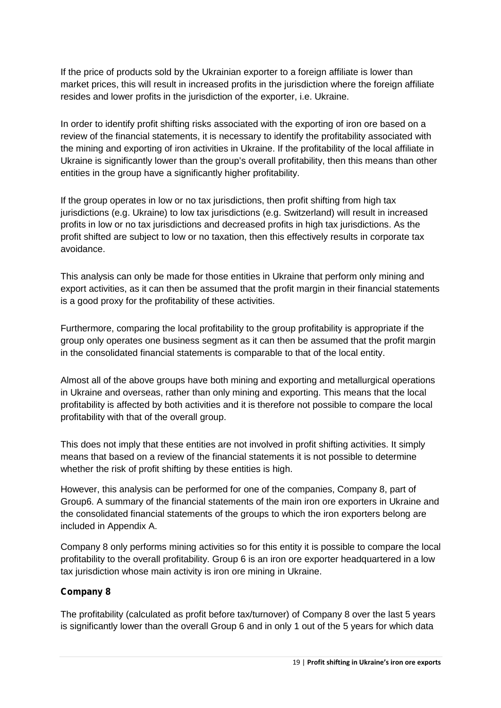If the price of products sold by the Ukrainian exporter to a foreign affiliate is lower than market prices, this will result in increased profits in the jurisdiction where the foreign affiliate resides and lower profits in the jurisdiction of the exporter, i.e. Ukraine.

In order to identify profit shifting risks associated with the exporting of iron ore based on a review of the financial statements, it is necessary to identify the profitability associated with the mining and exporting of iron activities in Ukraine. If the profitability of the local affiliate in Ukraine is significantly lower than the group's overall profitability, then this means than other entities in the group have a significantly higher profitability.

If the group operates in low or no tax jurisdictions, then profit shifting from high tax jurisdictions (e.g. Ukraine) to low tax jurisdictions (e.g. Switzerland) will result in increased profits in low or no tax jurisdictions and decreased profits in high tax jurisdictions. As the profit shifted are subject to low or no taxation, then this effectively results in corporate tax avoidance.

This analysis can only be made for those entities in Ukraine that perform only mining and export activities, as it can then be assumed that the profit margin in their financial statements is a good proxy for the profitability of these activities.

Furthermore, comparing the local profitability to the group profitability is appropriate if the group only operates one business segment as it can then be assumed that the profit margin in the consolidated financial statements is comparable to that of the local entity.

Almost all of the above groups have both mining and exporting and metallurgical operations in Ukraine and overseas, rather than only mining and exporting. This means that the local profitability is affected by both activities and it is therefore not possible to compare the local profitability with that of the overall group.

This does not imply that these entities are not involved in profit shifting activities. It simply means that based on a review of the financial statements it is not possible to determine whether the risk of profit shifting by these entities is high.

However, this analysis can be performed for one of the companies, Company 8, part of Group6. A summary of the financial statements of the main iron ore exporters in Ukraine and the consolidated financial statements of the groups to which the iron exporters belong are included in Appendix A.

Company 8 only performs mining activities so for this entity it is possible to compare the local profitability to the overall profitability. Group 6 is an iron ore exporter headquartered in a low tax jurisdiction whose main activity is iron ore mining in Ukraine.

## *Company 8*

The profitability (calculated as profit before tax/turnover) of Company 8 over the last 5 years is significantly lower than the overall Group 6 and in only 1 out of the 5 years for which data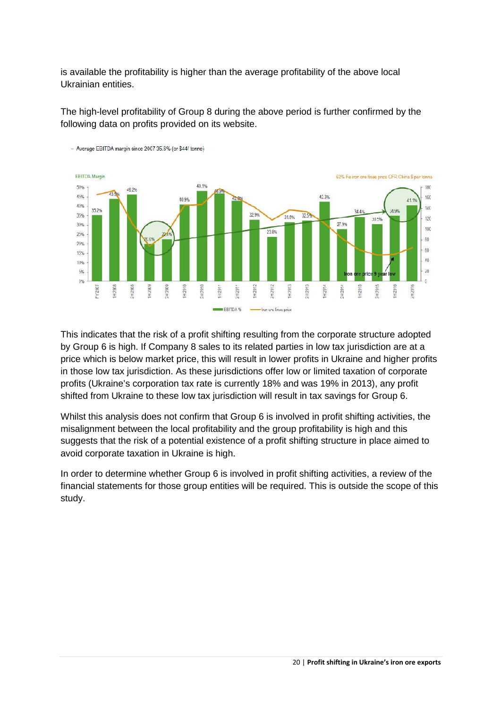is available the profitability is higher than the average profitability of the above local Ukrainian entities.

The high-level profitability of Group 8 during the above period is further confirmed by the following data on profits provided on its website.



This indicates that the risk of a profit shifting resulting from the corporate structure adopted by Group 6 is high. If Company 8 sales to its related parties in low tax jurisdiction are at a price which is below market price, this will result in lower profits in Ukraine and higher profits in those low tax jurisdiction. As these jurisdictions offer low or limited taxation of corporate profits (Ukraine's corporation tax rate is currently 18% and was 19% in 2013), any profit shifted from Ukraine to these low tax jurisdiction will result in tax savings for Group 6.

Whilst this analysis does not confirm that Group 6 is involved in profit shifting activities, the misalignment between the local profitability and the group profitability is high and this suggests that the risk of a potential existence of a profit shifting structure in place aimed to avoid corporate taxation in Ukraine is high.

In order to determine whether Group 6 is involved in profit shifting activities, a review of the financial statements for those group entities will be required. This is outside the scope of this study.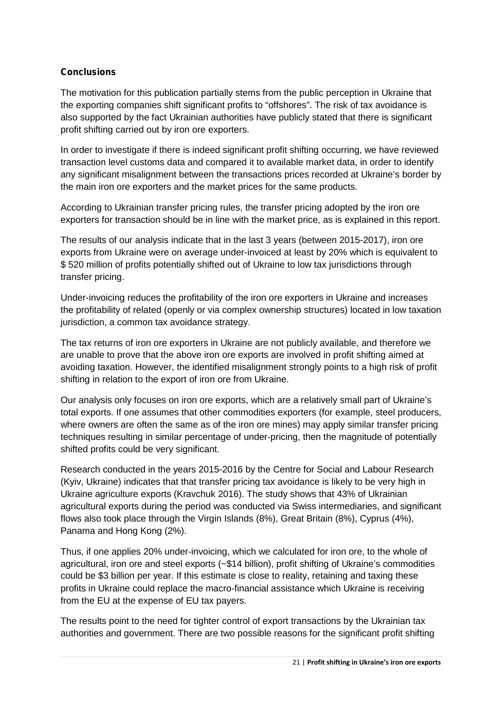## **Conclusions**

The motivation for this publication partially stems from the public perception in Ukraine that the exporting companies shift significant profits to "offshores". The risk of tax avoidance is also supported by the fact Ukrainian authorities have publicly stated that there is significant profit shifting carried out by iron ore exporters.

In order to investigate if there is indeed significant profit shifting occurring, we have reviewed transaction level customs data and compared it to available market data, in order to identify any significant misalignment between the transactions prices recorded at Ukraine's border by the main iron ore exporters and the market prices for the same products.

According to Ukrainian transfer pricing rules, the transfer pricing adopted by the iron ore exporters for transaction should be in line with the market price, as is explained in this report.

The results of our analysis indicate that in the last 3 years (between 2015-2017), iron ore exports from Ukraine were on average under-invoiced at least by 20% which is equivalent to \$ 520 million of profits potentially shifted out of Ukraine to low tax jurisdictions through transfer pricing.

Under-invoicing reduces the profitability of the iron ore exporters in Ukraine and increases the profitability of related (openly or via complex ownership structures) located in low taxation jurisdiction, a common tax avoidance strategy.

The tax returns of iron ore exporters in Ukraine are not publicly available, and therefore we are unable to prove that the above iron ore exports are involved in profit shifting aimed at avoiding taxation. However, the identified misalignment strongly points to a high risk of profit shifting in relation to the export of iron ore from Ukraine.

Our analysis only focuses on iron ore exports, which are a relatively small part of Ukraine's total exports. If one assumes that other commodities exporters (for example, steel producers, where owners are often the same as of the iron ore mines) may apply similar transfer pricing techniques resulting in similar percentage of under-pricing, then the magnitude of potentially shifted profits could be very significant.

Research conducted in the years 2015-2016 by the Centre for Social and Labour Research (Kyiv, Ukraine) indicates that that transfer pricing tax avoidance is likely to be very high in Ukraine agriculture exports (Kravchuk 2016). The study shows that 43% of Ukrainian agricultural exports during the period was conducted via Swiss intermediaries, and significant flows also took place through the Virgin Islands (8%), Great Britain (8%), Cyprus (4%), Panama and Hong Kong (2%).

Thus, if one applies 20% under-invoicing, which we calculated for iron ore, to the whole of agricultural, iron ore and steel exports (~\$14 billion), profit shifting of Ukraine's commodities could be \$3 billion per year. If this estimate is close to reality, retaining and taxing these profits in Ukraine could replace the macro-financial assistance which Ukraine is receiving from the EU at the expense of EU tax payers.

The results point to the need for tighter control of export transactions by the Ukrainian tax authorities and government. There are two possible reasons for the significant profit shifting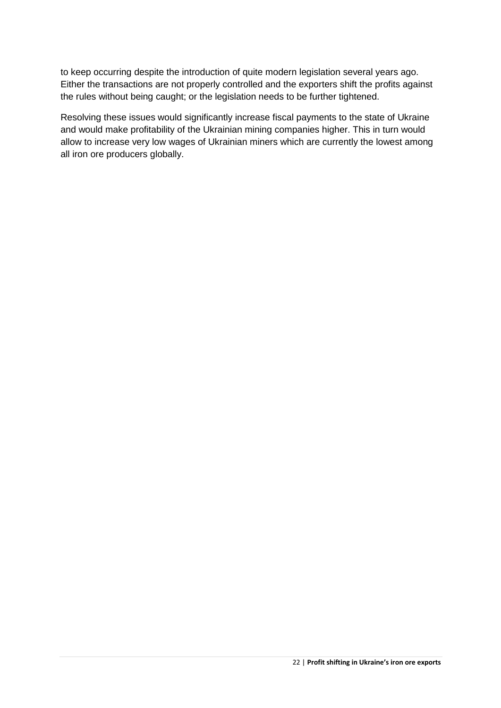to keep occurring despite the introduction of quite modern legislation several years ago. Either the transactions are not properly controlled and the exporters shift the profits against the rules without being caught; or the legislation needs to be further tightened.

Resolving these issues would significantly increase fiscal payments to the state of Ukraine and would make profitability of the Ukrainian mining companies higher. This in turn would allow to increase very low wages of Ukrainian miners which are currently the lowest among all iron ore producers globally.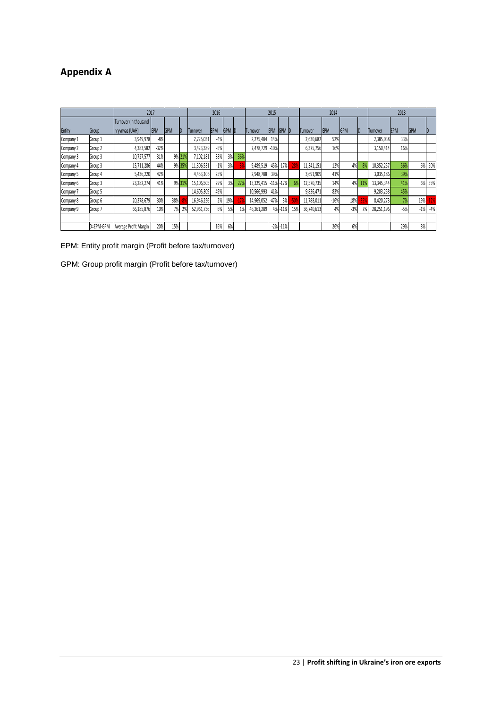# **Appendix A**

|               |           | 2017                   |            |     | 2016   |            |            |                | 2015 |            |            | 2014            |     |                 |             | 2013       |     |                  |             |            |       |
|---------------|-----------|------------------------|------------|-----|--------|------------|------------|----------------|------|------------|------------|-----------------|-----|-----------------|-------------|------------|-----|------------------|-------------|------------|-------|
|               |           | Turnover (in thousand  |            |     |        |            |            |                |      |            |            |                 |     |                 |             |            |     |                  |             |            |       |
| <b>Entity</b> | Group     | <b>Inryvnyas (UAH)</b> | <b>EPM</b> | GPM | ID.    | Turnover   | <b>EPM</b> | <b>IGPM ID</b> |      | Turnover   | <b>EPM</b> | <b>IGPM D</b>   |     | <b>Turnover</b> | <b>IEPM</b> | <b>GPM</b> | ID  | <b>ITurnover</b> | <b>IEPM</b> | <b>GPM</b> | ID    |
| Company 1     | Group 1   | 3,949,978              | $-8%$      |     |        | 2,725,031  | $-49$      |                |      | 2,275,484  | 14%        |                 |     | 2,630,682       | 52%         |            |     | 2,385,038        | 33%         |            |       |
| Company 2     | Group 2   | 4,383,582              | $-32%$     |     |        | 3,423,389  | $-5%$      |                |      | 7.478.729  | $-10%$     |                 |     | 6,375,756       | 16%         |            |     | 3,150,414        | 16%         |            |       |
| Company 3     | Group 3   | 10,727,577             | 31%        |     | 9% 21% | 7,102,181  | 389        | 3%             | 36%  |            |            |                 |     |                 |             |            |     |                  |             |            |       |
| Company 4     | Group 3   | 15,711,286             | 44%        |     | 9% 35% | 11,306,531 | $-1%$      | 3%             |      | 9.489.519  |            | $-45\% -17\%$   | 289 | 11,341,151      | 12%         | 4%         | 89  | 10,352,257       | 56%         | 6%         | 50%   |
| Company 5     | Group 4   | 5,436,220              | 42%        |     |        | 4.453.106  | 25%        |                |      | 2.948.788  | 39%        |                 |     | 3,691,909       | 41%         |            |     | 3,035,186        | 39%         |            |       |
| Company 6     | Group 3   | 23,282,274             | 41%        |     | 9% 31% | 15,106,505 | 29%        | 3%             | 279  | 13,329,415 |            | $-11\%$ $-17\%$ | 6%  | 12,570,735      | 14%         | 4%         | 119 | 13,345,344       | 41%         | 69         | 35%   |
| Company 7     | Group 5   |                        |            |     |        | 14.605.309 | 49%        |                |      | 10,566,993 | 41%        |                 |     | 9,836,471       | 83%         |            |     | 9,203,258        | 45%         |            |       |
| Company 8     | Group 6   | 20,378,679             | 30%        | 38% |        | 16,946,256 | 2%         | 19%            | -1   | 14,969,052 | $-47%$     | 3%              |     | 11.788.011      | $-16%$      | 18%        | 35  | 8.420.273        | 7%          | 19%        |       |
| Company 9     | Group 7   | 66,185,876             | 10%        | 7%  |        | 52,961,756 | 6%         | 5%             | 1%   | 46,261,289 |            | 4% - 11%        | 15% | 36,740,613      | 4%          | $-3%$      | 7%  | 28,251,196       | $-5%$       | $-1%$      | $-4%$ |
|               |           |                        |            |     |        |            |            |                |      |            |            |                 |     |                 |             |            |     |                  |             |            |       |
|               | D=EPM-GPM | Average Profit Margin  | 20%        | 15% |        |            | 16%        | 6%             |      |            |            | $-2\%$ $-11\%$  |     |                 | 26%         | 6%         |     |                  | 29%         | 8%         |       |

EPM: Entity profit margin (Profit before tax/turnover)

GPM: Group profit margin (Profit before tax/turnover)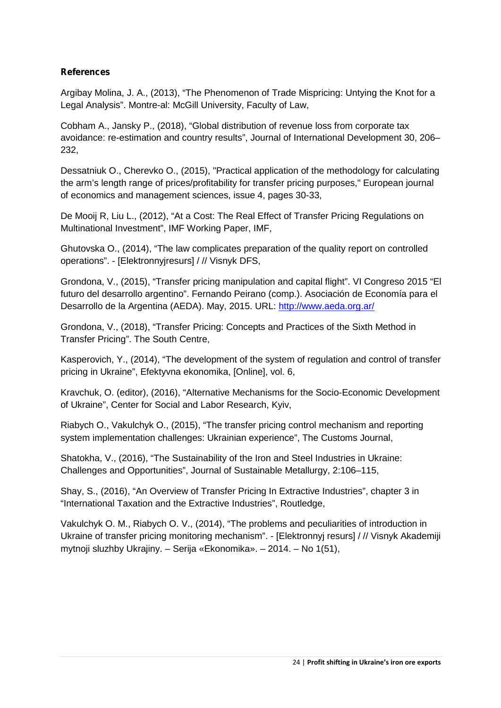## **References**

Argibay Molina, J. A., (2013), "The Phenomenon of Trade Mispricing: Untying the Knot for a Legal Analysis". Montre-al: McGill University, Faculty of Law,

Cobham A., Jansky P., (2018), "Global distribution of revenue loss from corporate tax avoidance: re-estimation and country results", Journal of International Development 30, 206– 232,

Dessatniuk O., Cherevko O., (2015), "Practical application of the methodology for calculating the arm's length range of prices/profitability for transfer pricing purposes," European journal of economics and management sciences, issue 4, pages 30-33,

De Mooij R, Liu L., (2012), "At a Cost: The Real Effect of Transfer Pricing Regulations on Multinational Investment", IMF Working Paper, IMF,

Ghutovska O., (2014), "The law complicates preparation of the quality report on controlled operations". - [Elektronnyjresurs] / // Visnyk DFS,

Grondona, V., (2015), "Transfer pricing manipulation and capital flight". VI Congreso 2015 "El futuro del desarrollo argentino". Fernando Peirano (comp.). Asociación de Economía para el Desarrollo de la Argentina (AEDA). May, 2015. URL: http://www.aeda.org.ar/

Grondona, V., (2018), "Transfer Pricing: Concepts and Practices of the Sixth Method in Transfer Pricing". The South Centre,

Kasperovich, Y., (2014), "The development of the system of regulation and control of transfer pricing in Ukraine", Efektyvna ekonomika, [Online], vol. 6,

Kravchuk, O. (editor), (2016), "Alternative Mechanisms for the Socio-Economic Development of Ukraine", Center for Social and Labor Research, Kyiv,

Riabych O., Vakulchyk O., (2015), "The transfer pricing control mechanism and reporting system implementation challenges: Ukrainian experience", The Customs Journal,

Shatokha, V., (2016), "The Sustainability of the Iron and Steel Industries in Ukraine: Challenges and Opportunities", Journal of Sustainable Metallurgy, 2:106–115,

Shay, S., (2016), "An Overview of Transfer Pricing In Extractive Industries", chapter 3 in "International Taxation and the Extractive Industries", Routledge,

Vakulchyk O. M., Riabych O. V., (2014), "The problems and peculiarities of introduction in Ukraine of transfer pricing monitoring mechanism". - [Elektronnyj resurs] / // Visnyk Akademiji mytnoji sluzhby Ukrajiny. – Serija «Ekonomika». – 2014. – No 1(51),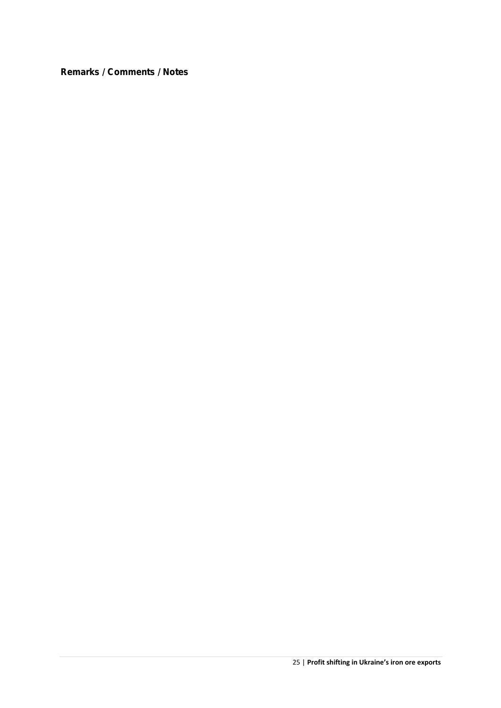**Remarks / Comments / Notes**